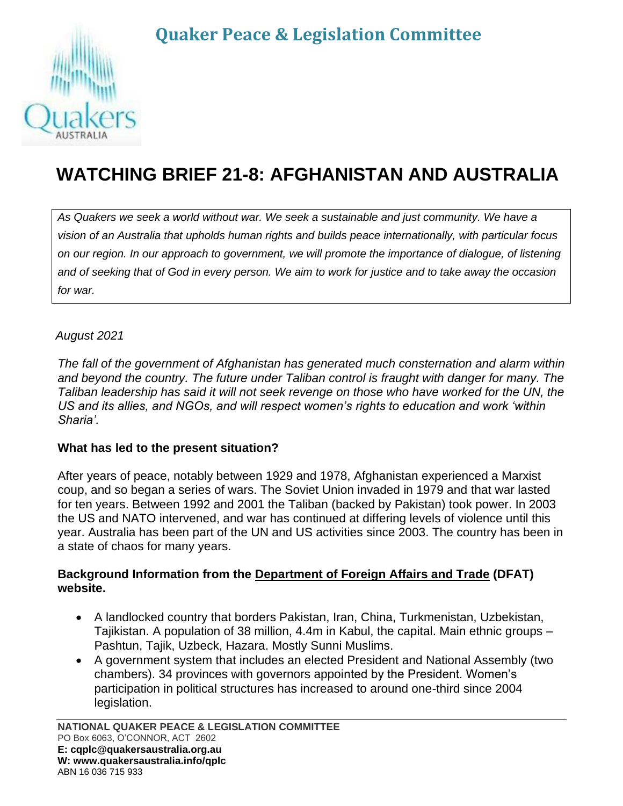# **Quaker Peace & Legislation Committee**



# **WATCHING BRIEF 21-8: AFGHANISTAN AND AUSTRALIA**

*As Quakers we seek a world without war. We seek a sustainable and just community. We have a vision of an Australia that upholds human rights and builds peace internationally, with particular focus on our region. In our approach to government, we will promote the importance of dialogue, of listening and of seeking that of God in every person. We aim to work for justice and to take away the occasion for war.*

# *August 2021*

*The fall of the government of Afghanistan has generated much consternation and alarm within and beyond the country. The future under Taliban control is fraught with danger for many. The Taliban leadership has said it will not seek revenge on those who have worked for the UN, the US and its allies, and NGOs, and will respect women's rights to education and work 'within Sharia'.* 

### **What has led to the present situation?**

After years of peace, notably between 1929 and 1978, Afghanistan experienced a Marxist coup, and so began a series of wars. The Soviet Union invaded in 1979 and that war lasted for ten years. Between 1992 and 2001 the Taliban (backed by Pakistan) took power. In 2003 the US and NATO intervened, and war has continued at differing levels of violence until this year. Australia has been part of the UN and US activities since 2003. The country has been in a state of chaos for many years.

#### **Background Information from the Department of Foreign Affairs and Trade (DFAT) website.**

- A landlocked country that borders Pakistan, Iran, China, Turkmenistan, Uzbekistan, Tajikistan. A population of 38 million, 4.4m in Kabul, the capital. Main ethnic groups – Pashtun, Tajik, Uzbeck, Hazara. Mostly Sunni Muslims.
- A government system that includes an elected President and National Assembly (two chambers). 34 provinces with governors appointed by the President. Women's participation in political structures has increased to around one-third since 2004 legislation.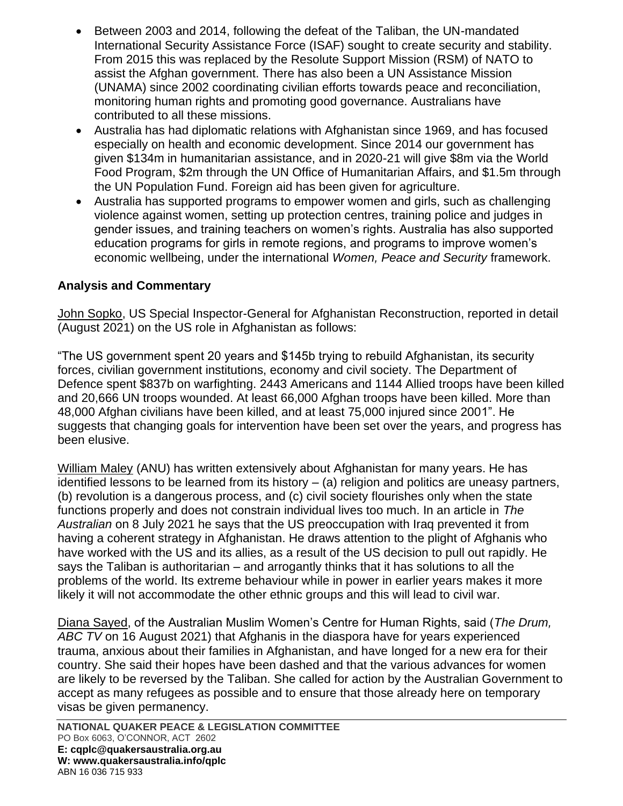- Between 2003 and 2014, following the defeat of the Taliban, the UN-mandated International Security Assistance Force (ISAF) sought to create security and stability. From 2015 this was replaced by the Resolute Support Mission (RSM) of NATO to assist the Afghan government. There has also been a UN Assistance Mission (UNAMA) since 2002 coordinating civilian efforts towards peace and reconciliation, monitoring human rights and promoting good governance. Australians have contributed to all these missions.
- Australia has had diplomatic relations with Afghanistan since 1969, and has focused especially on health and economic development. Since 2014 our government has given \$134m in humanitarian assistance, and in 2020-21 will give \$8m via the World Food Program, \$2m through the UN Office of Humanitarian Affairs, and \$1.5m through the UN Population Fund. Foreign aid has been given for agriculture.
- Australia has supported programs to empower women and girls, such as challenging violence against women, setting up protection centres, training police and judges in gender issues, and training teachers on women's rights. Australia has also supported education programs for girls in remote regions, and programs to improve women's economic wellbeing, under the international *Women, Peace and Security* framework.

# **Analysis and Commentary**

John Sopko, US Special Inspector-General for Afghanistan Reconstruction, reported in detail (August 2021) on the US role in Afghanistan as follows:

"The US government spent 20 years and \$145b trying to rebuild Afghanistan, its security forces, civilian government institutions, economy and civil society. The Department of Defence spent \$837b on warfighting. 2443 Americans and 1144 Allied troops have been killed and 20,666 UN troops wounded. At least 66,000 Afghan troops have been killed. More than 48,000 Afghan civilians have been killed, and at least 75,000 injured since 2001". He suggests that changing goals for intervention have been set over the years, and progress has been elusive.

William Maley (ANU) has written extensively about Afghanistan for many years. He has identified lessons to be learned from its history  $-$  (a) religion and politics are uneasy partners, (b) revolution is a dangerous process, and (c) civil society flourishes only when the state functions properly and does not constrain individual lives too much. In an article in *The Australian* on 8 July 2021 he says that the US preoccupation with Iraq prevented it from having a coherent strategy in Afghanistan. He draws attention to the plight of Afghanis who have worked with the US and its allies, as a result of the US decision to pull out rapidly. He says the Taliban is authoritarian – and arrogantly thinks that it has solutions to all the problems of the world. Its extreme behaviour while in power in earlier years makes it more likely it will not accommodate the other ethnic groups and this will lead to civil war.

Diana Sayed, of the Australian Muslim Women's Centre for Human Rights, said (*The Drum, ABC TV* on 16 August 2021) that Afghanis in the diaspora have for years experienced trauma, anxious about their families in Afghanistan, and have longed for a new era for their country. She said their hopes have been dashed and that the various advances for women are likely to be reversed by the Taliban. She called for action by the Australian Government to accept as many refugees as possible and to ensure that those already here on temporary visas be given permanency.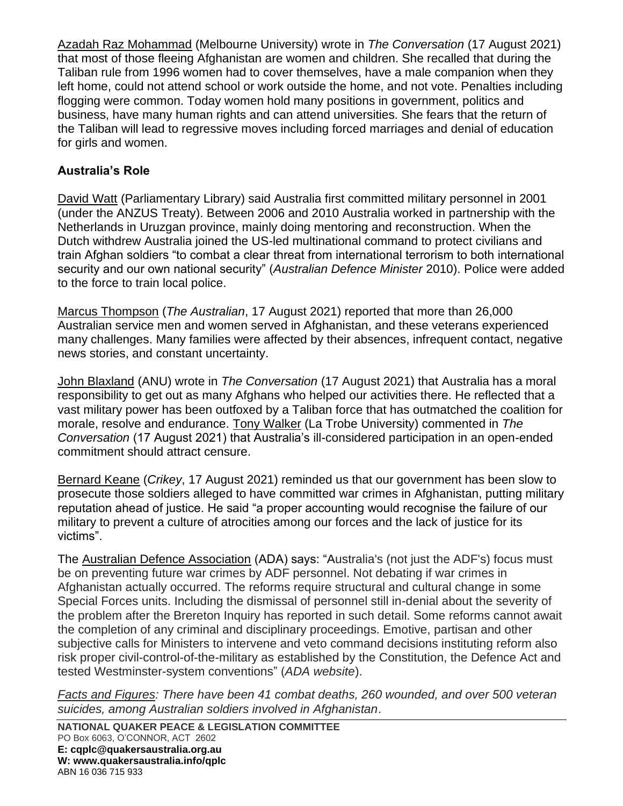Azadah Raz Mohammad (Melbourne University) wrote in *The Conversation* (17 August 2021) that most of those fleeing Afghanistan are women and children. She recalled that during the Taliban rule from 1996 women had to cover themselves, have a male companion when they left home, could not attend school or work outside the home, and not vote. Penalties including flogging were common. Today women hold many positions in government, politics and business, have many human rights and can attend universities. She fears that the return of the Taliban will lead to regressive moves including forced marriages and denial of education for girls and women.

# **Australia's Role**

David Watt (Parliamentary Library) said Australia first committed military personnel in 2001 (under the ANZUS Treaty). Between 2006 and 2010 Australia worked in partnership with the Netherlands in Uruzgan province, mainly doing mentoring and reconstruction. When the Dutch withdrew Australia joined the US-led multinational command to protect civilians and train Afghan soldiers "to combat a clear threat from international terrorism to both international security and our own national security" (*Australian Defence Minister* 2010). Police were added to the force to train local police.

Marcus Thompson (*The Australian*, 17 August 2021) reported that more than 26,000 Australian service men and women served in Afghanistan, and these veterans experienced many challenges. Many families were affected by their absences, infrequent contact, negative news stories, and constant uncertainty.

John Blaxland (ANU) wrote in *The Conversation* (17 August 2021) that Australia has a moral responsibility to get out as many Afghans who helped our activities there. He reflected that a vast military power has been outfoxed by a Taliban force that has outmatched the coalition for morale, resolve and endurance. Tony Walker (La Trobe University) commented in *The Conversation* (17 August 2021) that Australia's ill-considered participation in an open-ended commitment should attract censure.

Bernard Keane (*Crikey*, 17 August 2021) reminded us that our government has been slow to prosecute those soldiers alleged to have committed war crimes in Afghanistan, putting military reputation ahead of justice. He said "a proper accounting would recognise the failure of our military to prevent a culture of atrocities among our forces and the lack of justice for its victims".

The Australian Defence Association (ADA) says: "Australia's (not just the ADF's) focus must be on preventing future war crimes by ADF personnel. Not debating if war crimes in Afghanistan actually occurred. The reforms require structural and cultural change in some Special Forces units. Including the dismissal of personnel still in-denial about the severity of the problem after the Brereton Inquiry has reported in such detail. Some reforms cannot await the completion of any criminal and disciplinary proceedings. Emotive, partisan and other subjective calls for Ministers to intervene and veto command decisions instituting reform also risk proper civil-control-of-the-military as established by the Constitution, the Defence Act and tested Westminster-system conventions" (*ADA website*).

*Facts and Figures: There have been 41 combat deaths, 260 wounded, and over 500 veteran suicides, among Australian soldiers involved in Afghanistan*.

**NATIONAL QUAKER PEACE & LEGISLATION COMMITTEE** PO Box 6063, O'CONNOR, ACT 2602 **E: cqplc@quakersaustralia.org.au W: www.quakersaustralia.info/qplc** ABN 16 036 715 933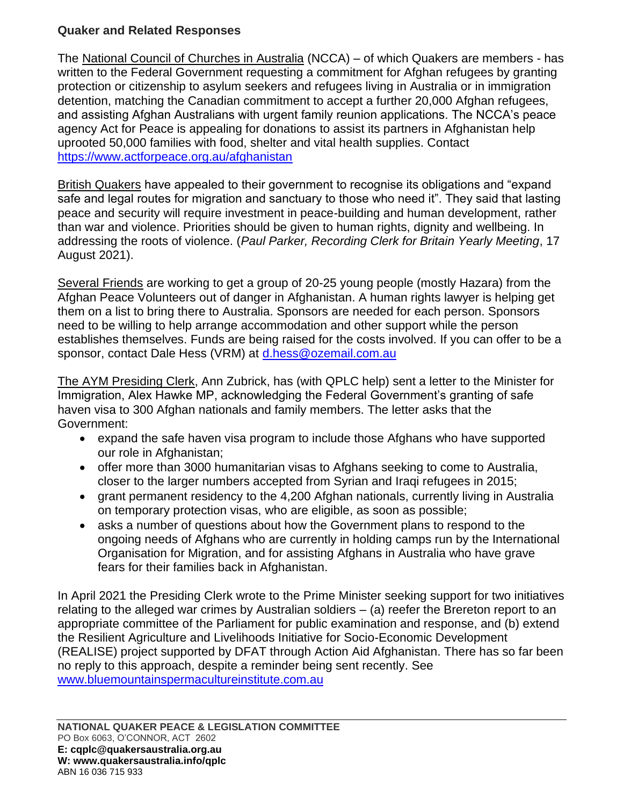# **Quaker and Related Responses**

The National Council of Churches in Australia (NCCA) – of which Quakers are members - has written to the Federal Government requesting a commitment for Afghan refugees by granting protection or citizenship to asylum seekers and refugees living in Australia or in immigration detention, matching the Canadian commitment to accept a further 20,000 Afghan refugees, and assisting Afghan Australians with urgent family reunion applications. The NCCA's peace agency Act for Peace is appealing for donations to assist its partners in Afghanistan help uprooted 50,000 families with food, shelter and vital health supplies. Contact <https://www.actforpeace.org.au/afghanistan>

British Quakers have appealed to their government to recognise its obligations and "expand safe and legal routes for migration and sanctuary to those who need it". They said that lasting peace and security will require investment in peace-building and human development, rather than war and violence. Priorities should be given to human rights, dignity and wellbeing. In addressing the roots of violence. (*Paul Parker, Recording Clerk for Britain Yearly Meeting*, 17 August 2021).

Several Friends are working to get a group of 20-25 young people (mostly Hazara) from the Afghan Peace Volunteers out of danger in Afghanistan. A human rights lawyer is helping get them on a list to bring there to Australia. Sponsors are needed for each person. Sponsors need to be willing to help arrange accommodation and other support while the person establishes themselves. Funds are being raised for the costs involved. If you can offer to be a sponsor, contact Dale Hess (VRM) at [d.hess@ozemail.com.au](mailto:d.hess@ozemail.com.au)

The AYM Presiding Clerk, Ann Zubrick, has (with QPLC help) sent a letter to the Minister for Immigration, Alex Hawke MP, acknowledging the Federal Government's granting of safe haven visa to 300 Afghan nationals and family members. The letter asks that the Government:

- expand the safe haven visa program to include those Afghans who have supported our role in Afghanistan;
- offer more than 3000 humanitarian visas to Afghans seeking to come to Australia, closer to the larger numbers accepted from Syrian and Iraqi refugees in 2015;
- grant permanent residency to the 4,200 Afghan nationals, currently living in Australia on temporary protection visas, who are eligible, as soon as possible;
- asks a number of questions about how the Government plans to respond to the ongoing needs of Afghans who are currently in holding camps run by the International Organisation for Migration, and for assisting Afghans in Australia who have grave fears for their families back in Afghanistan.

In April 2021 the Presiding Clerk wrote to the Prime Minister seeking support for two initiatives relating to the alleged war crimes by Australian soldiers – (a) reefer the Brereton report to an appropriate committee of the Parliament for public examination and response, and (b) extend the Resilient Agriculture and Livelihoods Initiative for Socio-Economic Development (REALISE) project supported by DFAT through Action Aid Afghanistan. There has so far been no reply to this approach, despite a reminder being sent recently. See [www.bluemountainspermacultureinstitute.com.au](http://www.bluemountainspermacultureinstitute.com.au/)